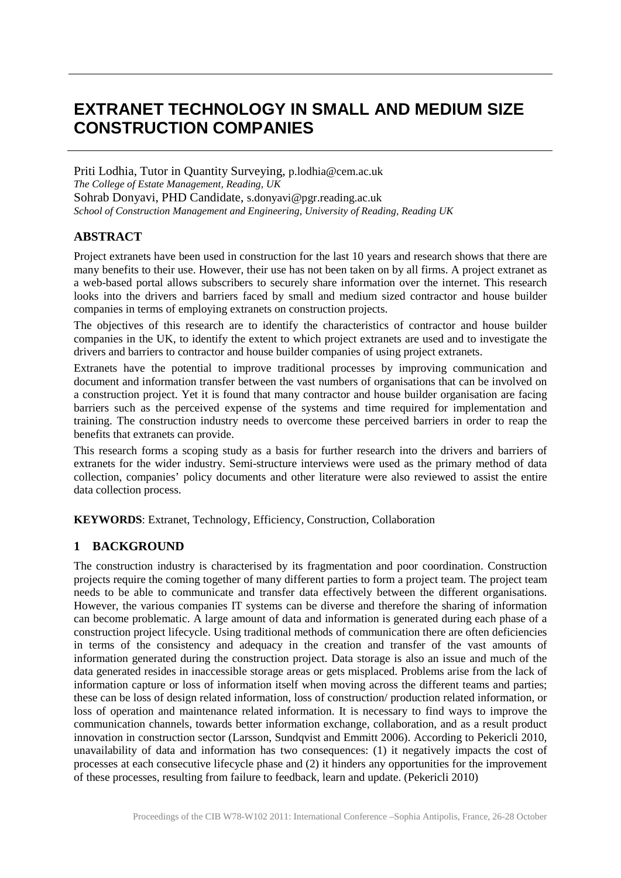# **EXTRANET TECHNOLOGY IN SMALL AND MEDIUM SIZE CONSTRUCTION COMPANIES**

Priti Lodhia, Tutor in Quantity Surveying, p.lodhia@cem.ac.uk *The College of Estate Management, Reading, UK* Sohrab Donyavi, PHD Candidate, s.donyavi@pgr.reading.ac.uk *School of Construction Management and Engineering, University of Reading, Reading UK* 

## **ABSTRACT**

Project extranets have been used in construction for the last 10 years and research shows that there are many benefits to their use. However, their use has not been taken on by all firms. A project extranet as a web-based portal allows subscribers to securely share information over the internet. This research looks into the drivers and barriers faced by small and medium sized contractor and house builder companies in terms of employing extranets on construction projects.

The objectives of this research are to identify the characteristics of contractor and house builder companies in the UK, to identify the extent to which project extranets are used and to investigate the drivers and barriers to contractor and house builder companies of using project extranets.

Extranets have the potential to improve traditional processes by improving communication and document and information transfer between the vast numbers of organisations that can be involved on a construction project. Yet it is found that many contractor and house builder organisation are facing barriers such as the perceived expense of the systems and time required for implementation and training. The construction industry needs to overcome these perceived barriers in order to reap the benefits that extranets can provide.

This research forms a scoping study as a basis for further research into the drivers and barriers of extranets for the wider industry. Semi-structure interviews were used as the primary method of data collection, companies' policy documents and other literature were also reviewed to assist the entire data collection process.

**KEYWORDS**: Extranet, Technology, Efficiency, Construction, Collaboration

#### **1 BACKGROUND**

The construction industry is characterised by its fragmentation and poor coordination. Construction projects require the coming together of many different parties to form a project team. The project team needs to be able to communicate and transfer data effectively between the different organisations. However, the various companies IT systems can be diverse and therefore the sharing of information can become problematic. A large amount of data and information is generated during each phase of a construction project lifecycle. Using traditional methods of communication there are often deficiencies in terms of the consistency and adequacy in the creation and transfer of the vast amounts of information generated during the construction project. Data storage is also an issue and much of the data generated resides in inaccessible storage areas or gets misplaced. Problems arise from the lack of information capture or loss of information itself when moving across the different teams and parties; these can be loss of design related information, loss of construction/ production related information, or loss of operation and maintenance related information. It is necessary to find ways to improve the communication channels, towards better information exchange, collaboration, and as a result product innovation in construction sector (Larsson, Sundqvist and Emmitt 2006). According to Pekericli 2010, unavailability of data and information has two consequences: (1) it negatively impacts the cost of processes at each consecutive lifecycle phase and (2) it hinders any opportunities for the improvement of these processes, resulting from failure to feedback, learn and update. (Pekericli 2010)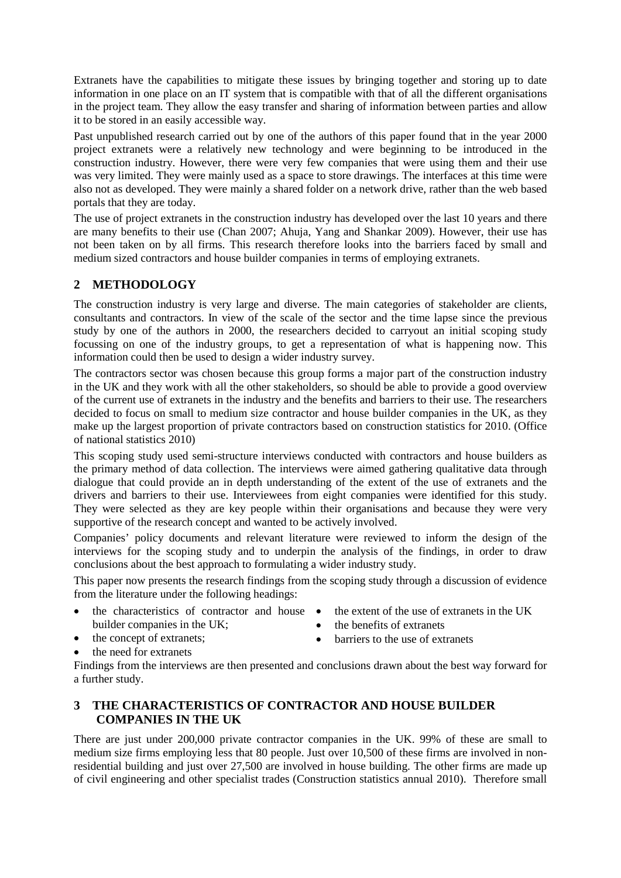Extranets have the capabilities to mitigate these issues by bringing together and storing up to date information in one place on an IT system that is compatible with that of all the different organisations in the project team. They allow the easy transfer and sharing of information between parties and allow it to be stored in an easily accessible way.

Past unpublished research carried out by one of the authors of this paper found that in the year 2000 project extranets were a relatively new technology and were beginning to be introduced in the construction industry. However, there were very few companies that were using them and their use was very limited. They were mainly used as a space to store drawings. The interfaces at this time were also not as developed. They were mainly a shared folder on a network drive, rather than the web based portals that they are today.

The use of project extranets in the construction industry has developed over the last 10 years and there are many benefits to their use (Chan 2007; Ahuja, Yang and Shankar 2009). However, their use has not been taken on by all firms. This research therefore looks into the barriers faced by small and medium sized contractors and house builder companies in terms of employing extranets.

# **2 METHODOLOGY**

The construction industry is very large and diverse. The main categories of stakeholder are clients, consultants and contractors. In view of the scale of the sector and the time lapse since the previous study by one of the authors in 2000, the researchers decided to carryout an initial scoping study focussing on one of the industry groups, to get a representation of what is happening now. This information could then be used to design a wider industry survey.

The contractors sector was chosen because this group forms a major part of the construction industry in the UK and they work with all the other stakeholders, so should be able to provide a good overview of the current use of extranets in the industry and the benefits and barriers to their use. The researchers decided to focus on small to medium size contractor and house builder companies in the UK, as they make up the largest proportion of private contractors based on construction statistics for 2010. (Office of national statistics 2010)

This scoping study used semi-structure interviews conducted with contractors and house builders as the primary method of data collection. The interviews were aimed gathering qualitative data through dialogue that could provide an in depth understanding of the extent of the use of extranets and the drivers and barriers to their use. Interviewees from eight companies were identified for this study. They were selected as they are key people within their organisations and because they were very supportive of the research concept and wanted to be actively involved.

Companies' policy documents and relevant literature were reviewed to inform the design of the interviews for the scoping study and to underpin the analysis of the findings, in order to draw conclusions about the best approach to formulating a wider industry study.

This paper now presents the research findings from the scoping study through a discussion of evidence from the literature under the following headings:

- the characteristics of contractor and house  $\bullet$ builder companies in the UK;
- the extent of the use of extranets in the UK
	- the concept of extranets;
- the benefits of extranets

the need for extranets

- barriers to the use of extranets
- Findings from the interviews are then presented and conclusions drawn about the best way forward for a further study.

# **3 THE CHARACTERISTICS OF CONTRACTOR AND HOUSE BUILDER COMPANIES IN THE UK**

There are just under 200,000 private contractor companies in the UK. 99% of these are small to medium size firms employing less that 80 people. Just over 10,500 of these firms are involved in nonresidential building and just over 27,500 are involved in house building. The other firms are made up of civil engineering and other specialist trades (Construction statistics annual 2010). Therefore small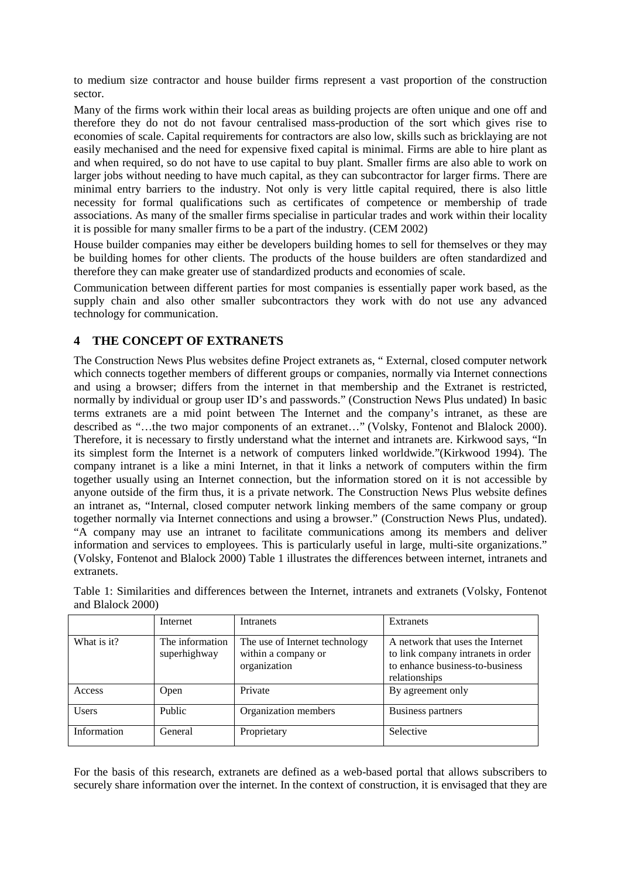to medium size contractor and house builder firms represent a vast proportion of the construction sector.

Many of the firms work within their local areas as building projects are often unique and one off and therefore they do not do not favour centralised mass-production of the sort which gives rise to economies of scale. Capital requirements for contractors are also low, skills such as bricklaying are not easily mechanised and the need for expensive fixed capital is minimal. Firms are able to hire plant as and when required, so do not have to use capital to buy plant. Smaller firms are also able to work on larger jobs without needing to have much capital, as they can subcontractor for larger firms. There are minimal entry barriers to the industry. Not only is very little capital required, there is also little necessity for formal qualifications such as certificates of competence or membership of trade associations. As many of the smaller firms specialise in particular trades and work within their locality it is possible for many smaller firms to be a part of the industry. (CEM 2002)

House builder companies may either be developers building homes to sell for themselves or they may be building homes for other clients. The products of the house builders are often standardized and therefore they can make greater use of standardized products and economies of scale.

Communication between different parties for most companies is essentially paper work based, as the supply chain and also other smaller subcontractors they work with do not use any advanced technology for communication.

# **4 THE CONCEPT OF EXTRANETS**

The Construction News Plus websites define Project extranets as, " External, closed computer network which connects together members of different groups or companies, normally via Internet connections and using a browser; differs from the internet in that membership and the Extranet is restricted, normally by individual or group user ID's and passwords." (Construction News Plus undated) In basic terms extranets are a mid point between The Internet and the company's intranet, as these are described as "…the two major components of an extranet…" (Volsky, Fontenot and Blalock 2000). Therefore, it is necessary to firstly understand what the internet and intranets are. Kirkwood says, "In its simplest form the Internet is a network of computers linked worldwide."(Kirkwood 1994). The company intranet is a like a mini Internet, in that it links a network of computers within the firm together usually using an Internet connection, but the information stored on it is not accessible by anyone outside of the firm thus, it is a private network. The Construction News Plus website defines an intranet as, "Internal, closed computer network linking members of the same company or group together normally via Internet connections and using a browser." (Construction News Plus, undated). "A company may use an intranet to facilitate communications among its members and deliver information and services to employees. This is particularly useful in large, multi-site organizations." (Volsky, Fontenot and Blalock 2000) Table 1 illustrates the differences between internet, intranets and extranets.

|              | Internet                        | <b>Intranets</b>                                                      | <b>Extranets</b>                                                                                                           |
|--------------|---------------------------------|-----------------------------------------------------------------------|----------------------------------------------------------------------------------------------------------------------------|
| What is it?  | The information<br>superhighway | The use of Internet technology<br>within a company or<br>organization | A network that uses the Internet<br>to link company intranets in order<br>to enhance business-to-business<br>relationships |
| Access       | Open                            | Private                                                               | By agreement only                                                                                                          |
| <b>Users</b> | Public                          | Organization members                                                  | Business partners                                                                                                          |
| Information  | General                         | Proprietary                                                           | Selective                                                                                                                  |

Table 1: Similarities and differences between the Internet, intranets and extranets (Volsky, Fontenot and Blalock 2000)

For the basis of this research, extranets are defined as a web-based portal that allows subscribers to securely share information over the internet. In the context of construction, it is envisaged that they are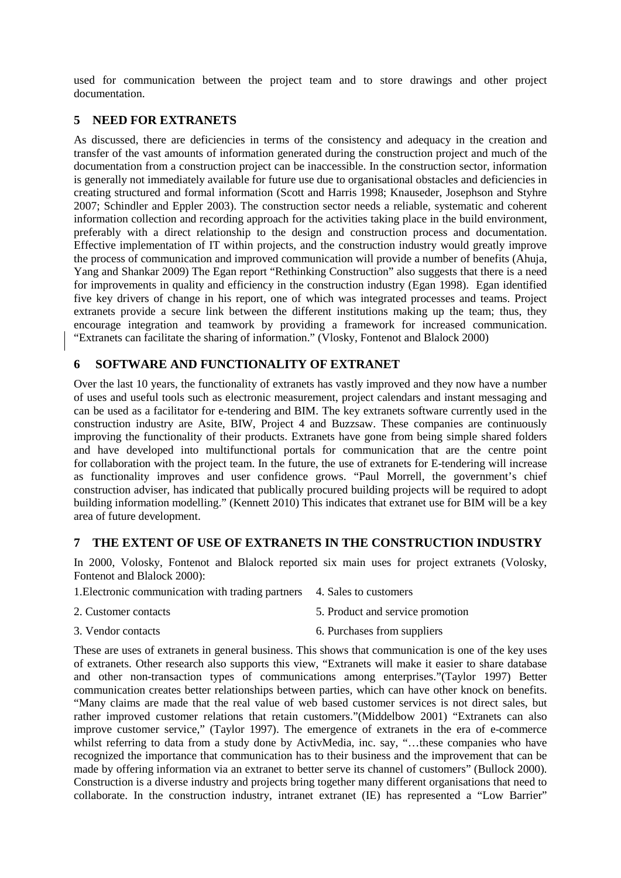used for communication between the project team and to store drawings and other project documentation.

# **5 NEED FOR EXTRANETS**

As discussed, there are deficiencies in terms of the consistency and adequacy in the creation and transfer of the vast amounts of information generated during the construction project and much of the documentation from a construction project can be inaccessible. In the construction sector, information is generally not immediately available for future use due to organisational obstacles and deficiencies in creating structured and formal information (Scott and Harris 1998; Knauseder, Josephson and Styhre 2007; Schindler and Eppler 2003). The construction sector needs a reliable, systematic and coherent information collection and recording approach for the activities taking place in the build environment, preferably with a direct relationship to the design and construction process and documentation. Effective implementation of IT within projects, and the construction industry would greatly improve the process of communication and improved communication will provide a number of benefits (Ahuja, Yang and Shankar 2009) The Egan report "Rethinking Construction" also suggests that there is a need for improvements in quality and efficiency in the construction industry (Egan 1998). Egan identified five key drivers of change in his report, one of which was integrated processes and teams. Project extranets provide a secure link between the different institutions making up the team; thus, they encourage integration and teamwork by providing a framework for increased communication. "Extranets can facilitate the sharing of information." (Vlosky, Fontenot and Blalock 2000)

## **6 SOFTWARE AND FUNCTIONALITY OF EXTRANET**

Over the last 10 years, the functionality of extranets has vastly improved and they now have a number of uses and useful tools such as electronic measurement, project calendars and instant messaging and can be used as a facilitator for e-tendering and BIM. The key extranets software currently used in the construction industry are Asite, BIW, Project 4 and Buzzsaw. These companies are continuously improving the functionality of their products. Extranets have gone from being simple shared folders and have developed into multifunctional portals for communication that are the centre point for collaboration with the project team. In the future, the use of extranets for E-tendering will increase as functionality improves and user confidence grows. "Paul Morrell, the government's chief construction adviser, has indicated that publically procured building projects will be required to adopt building information modelling." (Kennett 2010) This indicates that extranet use for BIM will be a key area of future development.

#### **7 THE EXTENT OF USE OF EXTRANETS IN THE CONSTRUCTION INDUSTRY**

In 2000, Volosky, Fontenot and Blalock reported six main uses for project extranets (Volosky, Fontenot and Blalock 2000):

1.Electronic communication with trading partners 4. Sales to customers

- 2. Customer contacts 5. Product and service promotion
- 3. Vendor contacts 6. Purchases from suppliers

These are uses of extranets in general business. This shows that communication is one of the key uses of extranets. Other research also supports this view, "Extranets will make it easier to share database and other non-transaction types of communications among enterprises."(Taylor 1997) Better communication creates better relationships between parties, which can have other knock on benefits. "Many claims are made that the real value of web based customer services is not direct sales, but rather improved customer relations that retain customers."(Middelbow 2001) "Extranets can also improve customer service," (Taylor 1997). The emergence of extranets in the era of e-commerce whilst referring to data from a study done by ActivMedia, inc. say, "…these companies who have recognized the importance that communication has to their business and the improvement that can be made by offering information via an extranet to better serve its channel of customers" (Bullock 2000). Construction is a diverse industry and projects bring together many different organisations that need to collaborate. In the construction industry, intranet extranet (IE) has represented a "Low Barrier"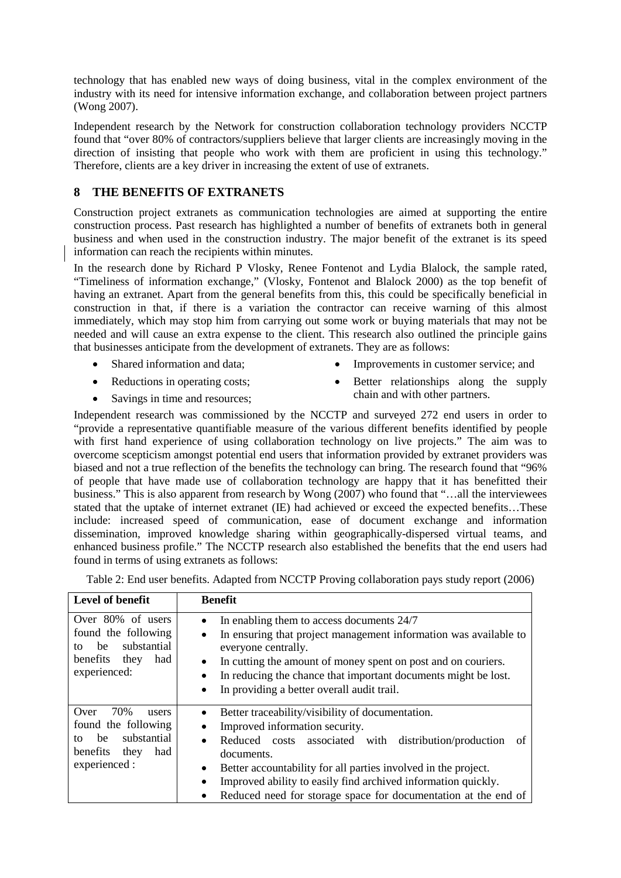technology that has enabled new ways of doing business, vital in the complex environment of the industry with its need for intensive information exchange, and collaboration between project partners (Wong 2007).

Independent research by the Network for construction collaboration technology providers NCCTP found that "over 80% of contractors/suppliers believe that larger clients are increasingly moving in the direction of insisting that people who work with them are proficient in using this technology." Therefore, clients are a key driver in increasing the extent of use of extranets.

# **8 THE BENEFITS OF EXTRANETS**

Construction project extranets as communication technologies are aimed at supporting the entire construction process. Past research has highlighted a number of benefits of extranets both in general business and when used in the construction industry. The major benefit of the extranet is its speed information can reach the recipients within minutes.

In the research done by Richard P Vlosky, Renee Fontenot and Lydia Blalock, the sample rated, "Timeliness of information exchange," (Vlosky, Fontenot and Blalock 2000) as the top benefit of having an extranet. Apart from the general benefits from this, this could be specifically beneficial in construction in that, if there is a variation the contractor can receive warning of this almost immediately, which may stop him from carrying out some work or buying materials that may not be needed and will cause an extra expense to the client. This research also outlined the principle gains that businesses anticipate from the development of extranets. They are as follows:

- Shared information and data;
- Improvements in customer service; and
- Reductions in operating costs;
- Better relationships along the supply chain and with other partners.
- Savings in time and resources;

Independent research was commissioned by the NCCTP and surveyed 272 end users in order to "provide a representative quantifiable measure of the various different benefits identified by people with first hand experience of using collaboration technology on live projects." The aim was to overcome scepticism amongst potential end users that information provided by extranet providers was biased and not a true reflection of the benefits the technology can bring. The research found that "96% of people that have made use of collaboration technology are happy that it has benefitted their business." This is also apparent from research by Wong (2007) who found that "…all the interviewees stated that the uptake of internet extranet (IE) had achieved or exceed the expected benefits…These include: increased speed of communication, ease of document exchange and information dissemination, improved knowledge sharing within geographically-dispersed virtual teams, and enhanced business profile." The NCCTP research also established the benefits that the end users had found in terms of using extranets as follows:

|  |  | Table 2: End user benefits. Adapted from NCCTP Proving collaboration pays study report (2006) |
|--|--|-----------------------------------------------------------------------------------------------|

| Level of benefit                                                                                                   | <b>Benefit</b>                                                                                                                                                                                                                                                                                                                                                                                                                |
|--------------------------------------------------------------------------------------------------------------------|-------------------------------------------------------------------------------------------------------------------------------------------------------------------------------------------------------------------------------------------------------------------------------------------------------------------------------------------------------------------------------------------------------------------------------|
| Over 80% of users<br>found the following<br>substantial<br>be<br>tο<br>benefits<br>had<br>they<br>experienced:     | In enabling them to access documents 24/7<br>$\bullet$<br>In ensuring that project management information was available to<br>$\bullet$<br>everyone centrally.<br>In cutting the amount of money spent on post and on couriers.<br>$\bullet$<br>In reducing the chance that important documents might be lost.<br>$\bullet$<br>In providing a better overall audit trail.<br>$\bullet$                                        |
| 70%<br>Over<br>users<br>found the following<br>substantial<br>be<br>tΩ<br>benefits<br>had<br>they<br>experienced : | Better traceability/visibility of documentation.<br>$\bullet$<br>Improved information security.<br>٠<br>Reduced costs associated with distribution/production<br>of<br>$\bullet$<br>documents.<br>Better accountability for all parties involved in the project.<br>$\bullet$<br>Improved ability to easily find archived information quickly.<br>$\bullet$<br>Reduced need for storage space for documentation at the end of |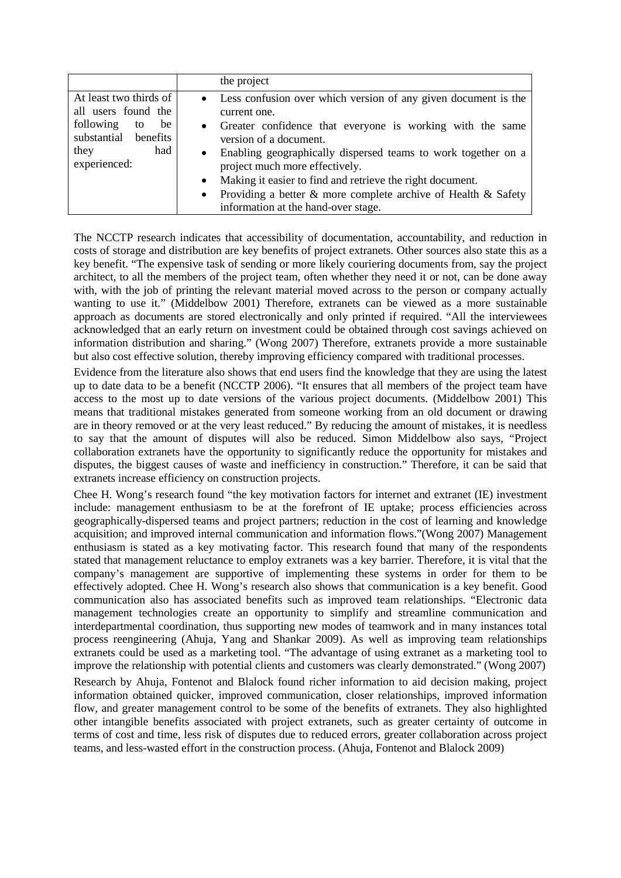|                                                                                                                               | the project                                                                                                                                                                                                                                                                                                                                                                                                                                                                              |
|-------------------------------------------------------------------------------------------------------------------------------|------------------------------------------------------------------------------------------------------------------------------------------------------------------------------------------------------------------------------------------------------------------------------------------------------------------------------------------------------------------------------------------------------------------------------------------------------------------------------------------|
| At least two thirds of<br>all users found the<br>following<br>be<br>to<br>substantial benefits<br>had<br>they<br>experienced: | • Less confusion over which version of any given document is the<br>current one.<br>• Greater confidence that everyone is working with the same<br>version of a document.<br>Enabling geographically dispersed teams to work together on a<br>$\bullet$<br>project much more effectively.<br>Making it easier to find and retrieve the right document.<br>$\bullet$<br>Providing a better & more complete archive of Health & Safety<br>$\bullet$<br>information at the hand-over stage. |

The NCCTP research indicates that accessibility of documentation, accountability, and reduction in costs of storage and distribution are key benefits of project extranets. Other sources also state this as a key benefit. "The expensive task of sending or more likely couriering documents from, say the project architect, to all the members of the project team, often whether they need it or not, can be done away with, with the job of printing the relevant material moved across to the person or company actually wanting to use it." (Middelbow 2001) Therefore, extranets can be viewed as a more sustainable approach as documents are stored electronically and only printed if required. "All the interviewees acknowledged that an early return on investment could be obtained through cost savings achieved on information distribution and sharing." (Wong 2007) Therefore, extranets provide a more sustainable but also cost effective solution, thereby improving efficiency compared with traditional processes.

Evidence from the literature also shows that end users find the knowledge that they are using the latest up to date data to be a benefit (NCCTP 2006). "It ensures that all members of the project team have access to the most up to date versions of the various project documents. (Middelbow 2001) This means that traditional mistakes generated from someone working from an old document or drawing are in theory removed or at the very least reduced." By reducing the amount of mistakes, it is needless to say that the amount of disputes will also be reduced. Simon Middelbow also says, "Project collaboration extranets have the opportunity to significantly reduce the opportunity for mistakes and disputes, the biggest causes of waste and inefficiency in construction." Therefore, it can be said that extranets increase efficiency on construction projects.

Chee H. Wong's research found "the key motivation factors for internet and extranet (IE) investment include: management enthusiasm to be at the forefront of IE uptake; process efficiencies across geographically-dispersed teams and project partners; reduction in the cost of learning and knowledge acquisition; and improved internal communication and information flows."(Wong 2007) Management enthusiasm is stated as a key motivating factor. This research found that many of the respondents stated that management reluctance to employ extranets was a key barrier. Therefore, it is vital that the company's management are supportive of implementing these systems in order for them to be effectively adopted. Chee H. Wong's research also shows that communication is a key benefit. Good communication also has associated benefits such as improved team relationships. "Electronic data management technologies create an opportunity to simplify and streamline communication and interdepartmental coordination, thus supporting new modes of teamwork and in many instances total process reengineering (Ahuja, Yang and Shankar 2009). As well as improving team relationships extranets could be used as a marketing tool. "The advantage of using extranet as a marketing tool to improve the relationship with potential clients and customers was clearly demonstrated." (Wong 2007)

Research by Ahuja, Fontenot and Blalock found richer information to aid decision making, project information obtained quicker, improved communication, closer relationships, improved information flow, and greater management control to be some of the benefits of extranets. They also highlighted other intangible benefits associated with project extranets, such as greater certainty of outcome in terms of cost and time, less risk of disputes due to reduced errors, greater collaboration across project teams, and less-wasted effort in the construction process. (Ahuja, Fontenot and Blalock 2009)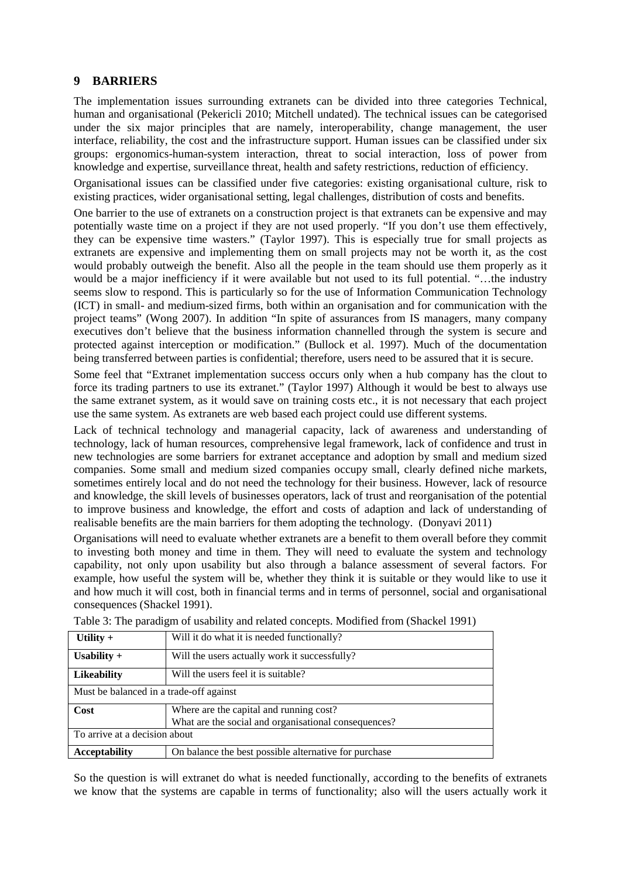## **9 BARRIERS**

The implementation issues surrounding extranets can be divided into three categories Technical, human and organisational (Pekericli 2010; Mitchell undated). The technical issues can be categorised under the six major principles that are namely, interoperability, change management, the user interface, reliability, the cost and the infrastructure support. Human issues can be classified under six groups: ergonomics-human-system interaction, threat to social interaction, loss of power from knowledge and expertise, surveillance threat, health and safety restrictions, reduction of efficiency.

Organisational issues can be classified under five categories: existing organisational culture, risk to existing practices, wider organisational setting, legal challenges, distribution of costs and benefits.

One barrier to the use of extranets on a construction project is that extranets can be expensive and may potentially waste time on a project if they are not used properly. "If you don't use them effectively, they can be expensive time wasters." (Taylor 1997). This is especially true for small projects as extranets are expensive and implementing them on small projects may not be worth it, as the cost would probably outweigh the benefit. Also all the people in the team should use them properly as it would be a major inefficiency if it were available but not used to its full potential. "...the industry seems slow to respond. This is particularly so for the use of Information Communication Technology (ICT) in small- and medium-sized firms, both within an organisation and for communication with the project teams" (Wong 2007). In addition "In spite of assurances from IS managers, many company executives don't believe that the business information channelled through the system is secure and protected against interception or modification." (Bullock et al. 1997). Much of the documentation being transferred between parties is confidential; therefore, users need to be assured that it is secure.

Some feel that "Extranet implementation success occurs only when a hub company has the clout to force its trading partners to use its extranet." (Taylor 1997) Although it would be best to always use the same extranet system, as it would save on training costs etc., it is not necessary that each project use the same system. As extranets are web based each project could use different systems.

Lack of technical technology and managerial capacity, lack of awareness and understanding of technology, lack of human resources, comprehensive legal framework, lack of confidence and trust in new technologies are some barriers for extranet acceptance and adoption by small and medium sized companies. Some small and medium sized companies occupy small, clearly defined niche markets, sometimes entirely local and do not need the technology for their business. However, lack of resource and knowledge, the skill levels of businesses operators, lack of trust and reorganisation of the potential to improve business and knowledge, the effort and costs of adaption and lack of understanding of realisable benefits are the main barriers for them adopting the technology. (Donyavi 2011)

Organisations will need to evaluate whether extranets are a benefit to them overall before they commit to investing both money and time in them. They will need to evaluate the system and technology capability, not only upon usability but also through a balance assessment of several factors. For example, how useful the system will be, whether they think it is suitable or they would like to use it and how much it will cost, both in financial terms and in terms of personnel, social and organisational consequences (Shackel 1991).

| Utility $+$                             | Will it do what it is needed functionally?            |  |
|-----------------------------------------|-------------------------------------------------------|--|
| Usability $+$                           | Will the users actually work it successfully?         |  |
| <b>Likeability</b>                      | Will the users feel it is suitable?                   |  |
| Must be balanced in a trade-off against |                                                       |  |
| Cost                                    | Where are the capital and running cost?               |  |
|                                         | What are the social and organisational consequences?  |  |
| To arrive at a decision about           |                                                       |  |
| <b>Acceptability</b>                    | On balance the best possible alternative for purchase |  |

Table 3: The paradigm of usability and related concepts. Modified from (Shackel 1991)

So the question is will extranet do what is needed functionally, according to the benefits of extranets we know that the systems are capable in terms of functionality; also will the users actually work it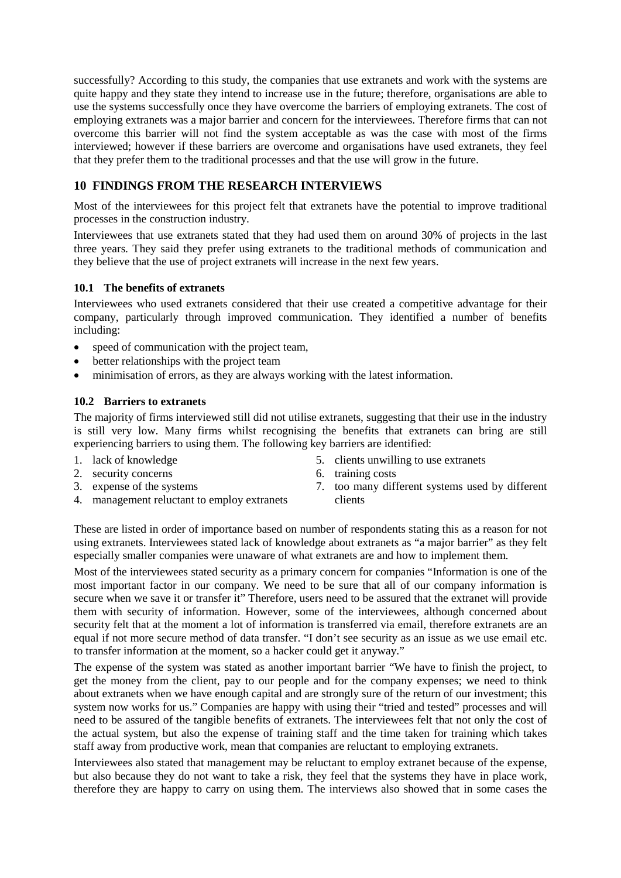successfully? According to this study, the companies that use extranets and work with the systems are quite happy and they state they intend to increase use in the future; therefore, organisations are able to use the systems successfully once they have overcome the barriers of employing extranets. The cost of employing extranets was a major barrier and concern for the interviewees. Therefore firms that can not overcome this barrier will not find the system acceptable as was the case with most of the firms interviewed; however if these barriers are overcome and organisations have used extranets, they feel that they prefer them to the traditional processes and that the use will grow in the future.

# **10 FINDINGS FROM THE RESEARCH INTERVIEWS**

Most of the interviewees for this project felt that extranets have the potential to improve traditional processes in the construction industry.

Interviewees that use extranets stated that they had used them on around 30% of projects in the last three years. They said they prefer using extranets to the traditional methods of communication and they believe that the use of project extranets will increase in the next few years.

#### **10.1 The benefits of extranets**

Interviewees who used extranets considered that their use created a competitive advantage for their company, particularly through improved communication. They identified a number of benefits including:

- speed of communication with the project team,
- better relationships with the project team
- minimisation of errors, as they are always working with the latest information.

#### **10.2 Barriers to extranets**

The majority of firms interviewed still did not utilise extranets, suggesting that their use in the industry is still very low. Many firms whilst recognising the benefits that extranets can bring are still experiencing barriers to using them. The following key barriers are identified:

- 1. lack of knowledge
- 2. security concerns
- 3. expense of the systems
- 4. management reluctant to employ extranets
- 5. clients unwilling to use extranets
- 6. training costs
- 7. too many different systems used by different clients

These are listed in order of importance based on number of respondents stating this as a reason for not using extranets. Interviewees stated lack of knowledge about extranets as "a major barrier" as they felt especially smaller companies were unaware of what extranets are and how to implement them.

Most of the interviewees stated security as a primary concern for companies "Information is one of the most important factor in our company. We need to be sure that all of our company information is secure when we save it or transfer it" Therefore, users need to be assured that the extranet will provide them with security of information. However, some of the interviewees, although concerned about security felt that at the moment a lot of information is transferred via email, therefore extranets are an equal if not more secure method of data transfer. "I don't see security as an issue as we use email etc. to transfer information at the moment, so a hacker could get it anyway."

The expense of the system was stated as another important barrier "We have to finish the project, to get the money from the client, pay to our people and for the company expenses; we need to think about extranets when we have enough capital and are strongly sure of the return of our investment; this system now works for us." Companies are happy with using their "tried and tested" processes and will need to be assured of the tangible benefits of extranets. The interviewees felt that not only the cost of the actual system, but also the expense of training staff and the time taken for training which takes staff away from productive work, mean that companies are reluctant to employing extranets.

Interviewees also stated that management may be reluctant to employ extranet because of the expense, but also because they do not want to take a risk, they feel that the systems they have in place work, therefore they are happy to carry on using them. The interviews also showed that in some cases the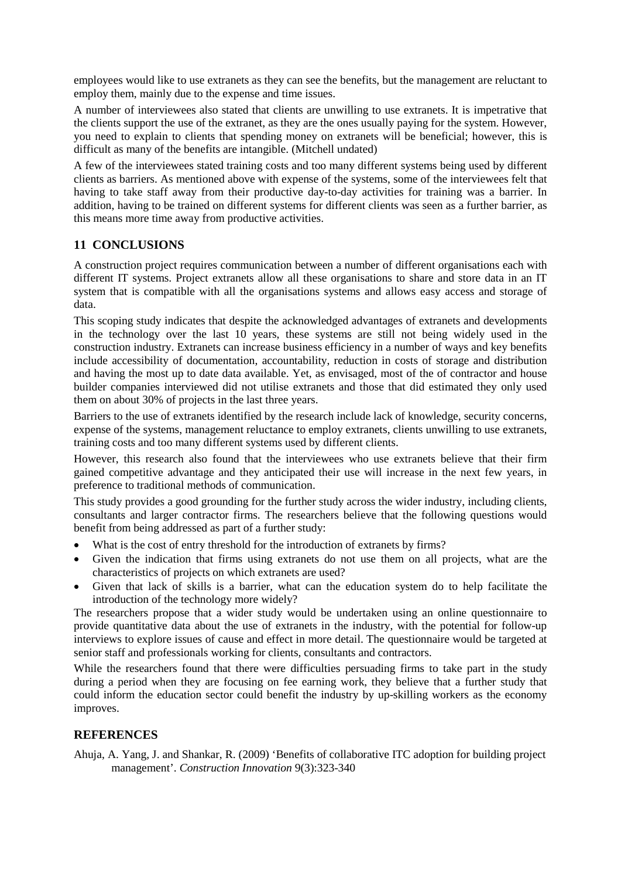employees would like to use extranets as they can see the benefits, but the management are reluctant to employ them, mainly due to the expense and time issues.

A number of interviewees also stated that clients are unwilling to use extranets. It is impetrative that the clients support the use of the extranet, as they are the ones usually paying for the system. However, you need to explain to clients that spending money on extranets will be beneficial; however, this is difficult as many of the benefits are intangible. (Mitchell undated)

A few of the interviewees stated training costs and too many different systems being used by different clients as barriers. As mentioned above with expense of the systems, some of the interviewees felt that having to take staff away from their productive day-to-day activities for training was a barrier. In addition, having to be trained on different systems for different clients was seen as a further barrier, as this means more time away from productive activities.

## **11 CONCLUSIONS**

A construction project requires communication between a number of different organisations each with different IT systems. Project extranets allow all these organisations to share and store data in an IT system that is compatible with all the organisations systems and allows easy access and storage of data.

This scoping study indicates that despite the acknowledged advantages of extranets and developments in the technology over the last 10 years, these systems are still not being widely used in the construction industry. Extranets can increase business efficiency in a number of ways and key benefits include accessibility of documentation, accountability, reduction in costs of storage and distribution and having the most up to date data available. Yet, as envisaged, most of the of contractor and house builder companies interviewed did not utilise extranets and those that did estimated they only used them on about 30% of projects in the last three years.

Barriers to the use of extranets identified by the research include lack of knowledge, security concerns, expense of the systems, management reluctance to employ extranets, clients unwilling to use extranets, training costs and too many different systems used by different clients.

However, this research also found that the interviewees who use extranets believe that their firm gained competitive advantage and they anticipated their use will increase in the next few years, in preference to traditional methods of communication.

This study provides a good grounding for the further study across the wider industry, including clients, consultants and larger contractor firms. The researchers believe that the following questions would benefit from being addressed as part of a further study:

- What is the cost of entry threshold for the introduction of extranets by firms?
- Given the indication that firms using extranets do not use them on all projects, what are the characteristics of projects on which extranets are used?
- Given that lack of skills is a barrier, what can the education system do to help facilitate the introduction of the technology more widely?

The researchers propose that a wider study would be undertaken using an online questionnaire to provide quantitative data about the use of extranets in the industry, with the potential for follow-up interviews to explore issues of cause and effect in more detail. The questionnaire would be targeted at senior staff and professionals working for clients, consultants and contractors.

While the researchers found that there were difficulties persuading firms to take part in the study during a period when they are focusing on fee earning work, they believe that a further study that could inform the education sector could benefit the industry by up-skilling workers as the economy improves.

#### **REFERENCES**

Ahuja, A. Yang, J. and Shankar, R. (2009) 'Benefits of collaborative ITC adoption for building project management'. *Construction Innovation* 9(3):323-340